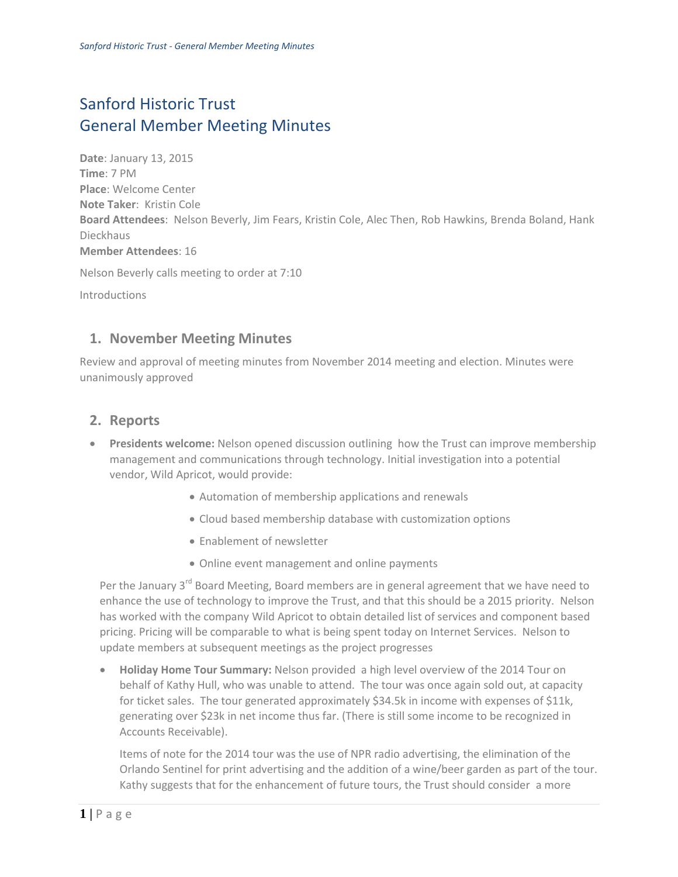## Sanford Historic Trust General Member Meeting Minutes

**Date**: January 13, 2015 **Time**: 7 PM **Place**: Welcome Center **Note Taker**: Kristin Cole **Board Attendees**: Nelson Beverly, Jim Fears, Kristin Cole, Alec Then, Rob Hawkins, Brenda Boland, Hank Dieckhaus **Member Attendees**: 16

Nelson Beverly calls meeting to order at 7:10

Introductions

## **1. November Meeting Minutes**

Review and approval of meeting minutes from November 2014 meeting and election. Minutes were unanimously approved

## **2. Reports**

- **Presidents welcome:** Nelson opened discussion outlining how the Trust can improve membership management and communications through technology. Initial investigation into a potential vendor, Wild Apricot, would provide:
	- Automation of membership applications and renewals
	- Cloud based membership database with customization options
	- **Enablement of newsletter**
	- Online event management and online payments

Per the January  $3^{rd}$  Board Meeting, Board members are in general agreement that we have need to enhance the use of technology to improve the Trust, and that this should be a 2015 priority. Nelson has worked with the company Wild Apricot to obtain detailed list of services and component based pricing. Pricing will be comparable to what is being spent today on Internet Services. Nelson to update members at subsequent meetings as the project progresses

 **Holiday Home Tour Summary:** Nelson provided a high level overview of the 2014 Tour on behalf of Kathy Hull, who was unable to attend. The tour was once again sold out, at capacity for ticket sales. The tour generated approximately \$34.5k in income with expenses of \$11k, generating over \$23k in net income thus far. (There is still some income to be recognized in Accounts Receivable).

Items of note for the 2014 tour was the use of NPR radio advertising, the elimination of the Orlando Sentinel for print advertising and the addition of a wine/beer garden as part of the tour. Kathy suggests that for the enhancement of future tours, the Trust should consider a more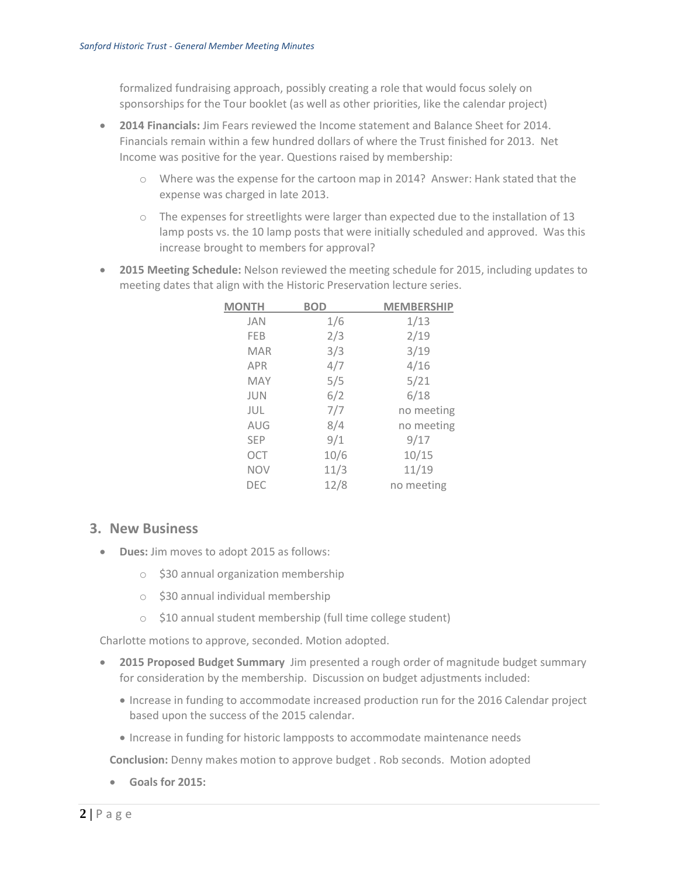formalized fundraising approach, possibly creating a role that would focus solely on sponsorships for the Tour booklet (as well as other priorities, like the calendar project)

- **2014 Financials:** Jim Fears reviewed the Income statement and Balance Sheet for 2014. Financials remain within a few hundred dollars of where the Trust finished for 2013. Net Income was positive for the year. Questions raised by membership:
	- o Where was the expense for the cartoon map in 2014? Answer: Hank stated that the expense was charged in late 2013.
	- $\circ$  The expenses for streetlights were larger than expected due to the installation of 13 lamp posts vs. the 10 lamp posts that were initially scheduled and approved. Was this increase brought to members for approval?
- **2015 Meeting Schedule:** Nelson reviewed the meeting schedule for 2015, including updates to meeting dates that align with the Historic Preservation lecture series.

| <b>MONTH</b> | <b>BOD</b> | <b>MEMBERSHIP</b> |
|--------------|------------|-------------------|
| <b>JAN</b>   | 1/6        | 1/13              |
| FEB          | 2/3        | 2/19              |
| <b>MAR</b>   | 3/3        | 3/19              |
| <b>APR</b>   | 4/7        | 4/16              |
| <b>MAY</b>   | 5/5        | 5/21              |
| <b>JUN</b>   | 6/2        | 6/18              |
| JUL          | 7/7        | no meeting        |
| AUG          | 8/4        | no meeting        |
| <b>SEP</b>   | 9/1        | 9/17              |
| <b>OCT</b>   | 10/6       | 10/15             |
| <b>NOV</b>   | 11/3       | 11/19             |
| DEC          | 12/8       | no meeting        |

## **3. New Business**

- **Dues:** Jim moves to adopt 2015 as follows:
	- o \$30 annual organization membership
	- o \$30 annual individual membership
	- o \$10 annual student membership (full time college student)

Charlotte motions to approve, seconded. Motion adopted.

- **2015 Proposed Budget Summary** Jim presented a rough order of magnitude budget summary for consideration by the membership. Discussion on budget adjustments included:
	- Increase in funding to accommodate increased production run for the 2016 Calendar project based upon the success of the 2015 calendar.
	- Increase in funding for historic lampposts to accommodate maintenance needs

**Conclusion:** Denny makes motion to approve budget . Rob seconds. Motion adopted

**Goals for 2015:**